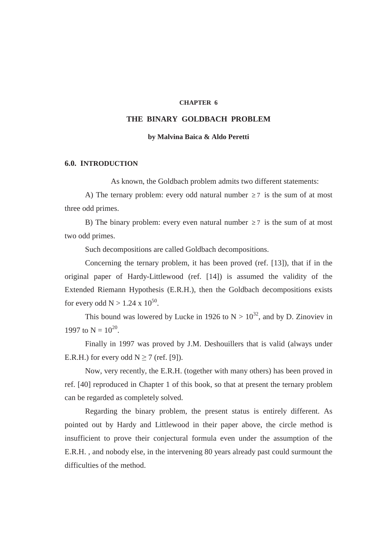#### **CHAPTER 6**

### **THE BINARY GOLDBACH PROBLEM**

#### **by Malvina Baica & Aldo Peretti**

#### **6.0. INTRODUCTION**

As known, the Goldbach problem admits two different statements:

A) The ternary problem: every odd natural number  $\geq 7$  is the sum of at most three odd primes.

B) The binary problem: every even natural number  $\geq 7$  is the sum of at most two odd primes.

Such decompositions are called Goldbach decompositions.

Concerning the ternary problem, it has been proved (ref. [13]), that if in the original paper of Hardy-Littlewood (ref. [14]) is assumed the validity of the Extended Riemann Hypothesis (E.R.H.), then the Goldbach decompositions exists for every odd  $N > 1.24 \times 10^{50}$ .

This bound was lowered by Lucke in 1926 to  $N > 10^{32}$ , and by D. Zinoviev in 1997 to  $N = 10^{20}$ .

Finally in 1997 was proved by J.M. Deshouillers that is valid (always under E.R.H.) for every odd  $N \ge 7$  (ref. [9]).

Now, very recently, the E.R.H. (together with many others) has been proved in ref. [40] reproduced in Chapter 1 of this book, so that at present the ternary problem can be regarded as completely solved.

Regarding the binary problem, the present status is entirely different. As pointed out by Hardy and Littlewood in their paper above, the circle method is insufficient to prove their conjectural formula even under the assumption of the E.R.H. , and nobody else, in the intervening 80 years already past could surmount the difficulties of the method.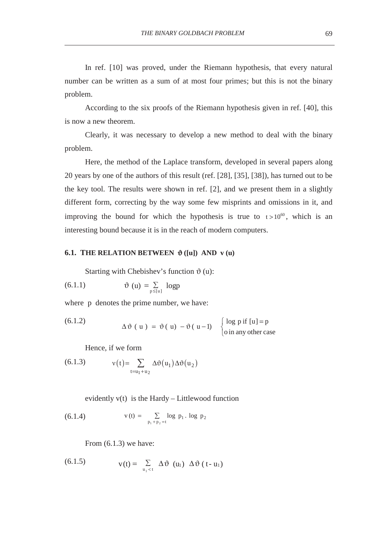In ref. [10] was proved, under the Riemann hypothesis, that every natural number can be written as a sum of at most four primes; but this is not the binary problem.

According to the six proofs of the Riemann hypothesis given in ref. [40], this is now a new theorem.

Clearly, it was necessary to develop a new method to deal with the binary problem.

Here, the method of the Laplace transform, developed in several papers along 20 years by one of the authors of this result (ref. [28], [35], [38]), has turned out to be the key tool. The results were shown in ref. [2], and we present them in a slightly different form, correcting by the way some few misprints and omissions in it, and improving the bound for which the hypothesis is true to  $t > 10^{60}$ , which is an interesting bound because it is in the reach of modern computers.

### **6.1. THE RELATION BETWEEN**  $\vartheta$  **([u]) AND v (u)**

Starting with Chebishev's function  $\vartheta$  (u):

$$
(6.1.1) \t\t\t \vartheta (u) = \sum_{p \le [u]} log p
$$

where p denotes the prime number, we have:

(6.1.2) 
$$
\Delta \vartheta (u) = \vartheta (u) - \vartheta (u-1) \begin{cases} \log p \text{ if } [u] = p \\ \text{o in any other case} \end{cases}
$$

Hence, if we form

(6.1.3) 
$$
v(t) = \sum_{t=u_1+u_2} \Delta \vartheta(u_1) \Delta \vartheta(u_2)
$$

evidently v(t) is the Hardy – Littlewood function

(6.1.4) 
$$
v(t) = \sum_{p_1 + p_2 = t} \log p_1 \cdot \log p_2
$$

From (6.1.3) we have:

(6.1.5) 
$$
v(t) = \sum_{u_1 \leq t} \Delta \vartheta (u_1) \Delta \vartheta (t - u_1)
$$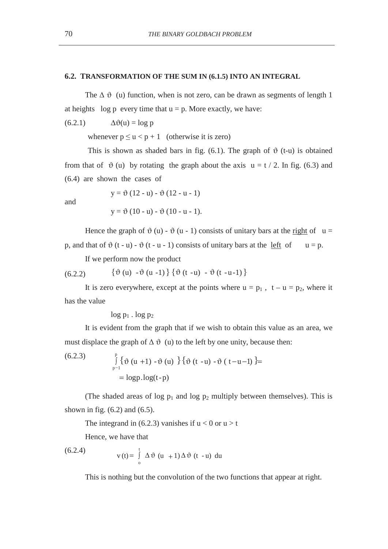### **6.2. TRANSFORMATION OF THE SUM IN (6.1.5) INTO AN INTEGRAL**

The  $\Delta \vartheta$  (u) function, when is not zero, can be drawn as segments of length 1 at heights log p every time that  $u = p$ . More exactly, we have:

 $(6.2.1)$   $\Delta \vartheta(u) = \log p$ 

whenever  $p \le u < p + 1$  (otherwise it is zero)

This is shown as shaded bars in fig. (6.1). The graph of  $\vartheta$  (t-u) is obtained from that of  $\vartheta$  (u) by rotating the graph about the axis  $u = t / 2$ . In fig. (6.3) and (6.4) are shown the cases of

and

$$
y = \vartheta (12 - u) - \vartheta (12 - u - 1)
$$

$$
y = \vartheta (10 - u) - \vartheta (10 - u - 1).
$$

Hence the graph of  $\vartheta$  (u) -  $\vartheta$  (u - 1) consists of unitary bars at the right of u = p, and that of  $\vartheta$  (t - u) -  $\vartheta$  (t - u - 1) consists of unitary bars at the left of  $u = p$ .

If we perform now the product

(6.2.2)  ${\vartheta(u) - \vartheta(u - 1)} {\vartheta(t - u) - \vartheta(t - u - 1)}$ 

It is zero everywhere, except at the points where  $u = p_1$ ,  $t - u = p_2$ , where it has the value

 $log p_1$ .  $log p_2$ 

It is evident from the graph that if we wish to obtain this value as an area, we must displace the graph of  $\Delta \vartheta$  (u) to the left by one unity, because then:

(6.2.3) 
$$
\int_{p-1}^{p} {\phi (u + 1) - \vartheta (u) } {\phi (t - u) - \vartheta (t - u - 1)} = \log p \log(t - p)
$$

(The shaded areas of log  $p_1$  and log  $p_2$  multiply between themselves). This is shown in fig.  $(6.2)$  and  $(6.5)$ .

The integrand in (6.2.3) vanishes if  $u < 0$  or  $u > t$ 

Hence, we have that

(6.2.4) 
$$
v(t) = \int_{0}^{t} \Delta \vartheta (u + 1) \Delta \vartheta (t - u) du
$$

This is nothing but the convolution of the two functions that appear at right.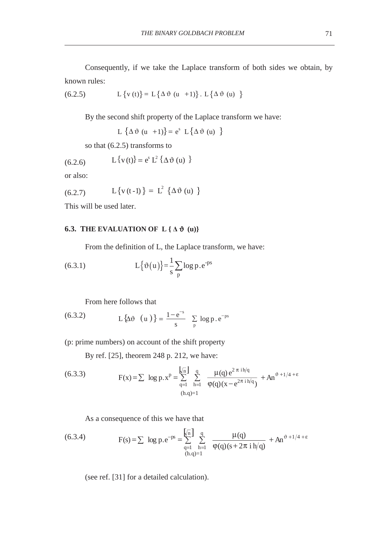Consequently, if we take the Laplace transform of both sides we obtain, by known rules:

(6.2.5) 
$$
L \{v(t)\} = L \{\Delta \vartheta (u + 1)\} . L \{\Delta \vartheta (u)\}
$$

By the second shift property of the Laplace transform we have:

L  $\{\Delta \vartheta$  (u + 1) =  $e^s$  L  $\{\Delta \vartheta$  (u) }

so that (6.2.5) transforms to

(6.2.6) 
$$
L{v(t)} = e^s L^2 {\{\Delta \vartheta (u) \}}
$$

or also:

(6.2.7) 
$$
L\{v(t-1)\} = L^2 \{\Delta \vartheta (u) \}
$$

This will be used later.

### **6.3. THE EVALUATION OF L {** $\Delta \vartheta$  **(u)}**

From the definition of L, the Laplace transform, we have:

(6.3.1) 
$$
L\{\vartheta(u)\} = \frac{1}{s} \sum_{p} \log p \cdot e^{-ps}
$$

From here follows that

(6.3.2) 
$$
L\{\Delta \vartheta (u)\} = \frac{1-e^{-s}}{s} \sum_{p} log p.e^{-ps}
$$

(p: prime numbers) on account of the shift property

By ref. [25], theorem 248 p. 212, we have:

(6.3.3) 
$$
F(x) = \sum \log p.x^{p} = \sum_{q=1}^{\sqrt{n}} \sum_{h=1}^{q} \frac{\mu(q) e^{2 \pi i h/q}}{\phi(q)(x - e^{2 \pi i h/q})} + An^{\vartheta + 1/4 + \varepsilon}
$$

$$
\lim_{(h,q)=1} \frac{\mu(q) e^{2 \pi i h/q}}{\phi(q)(x - e^{2 \pi i h/q})}
$$

As a consequence of this we have that

(6.3.4) 
$$
F(s) = \sum \log p \cdot e^{-ps} = \sum_{q=1}^{\sqrt{n}} \sum_{h=1}^{q} \frac{\mu(q)}{\phi(q)(s + 2\pi i h/q)} + An^{\vartheta + 1/4 + \varepsilon}
$$

(see ref. [31] for a detailed calculation).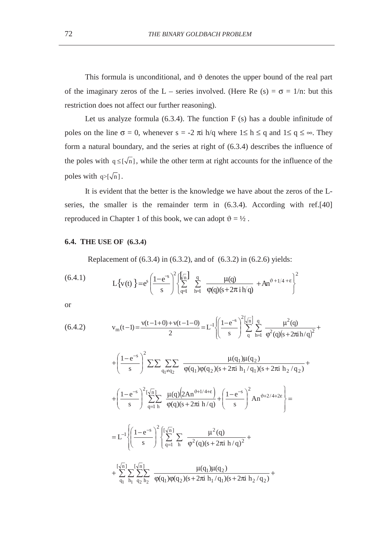This formula is unconditional, and  $\vartheta$  denotes the upper bound of the real part of the imaginary zeros of the L – series involved. (Here Re (s) =  $\sigma$  = 1/n: but this restriction does not affect our further reasoning).

Let us analyze formula  $(6.3.4)$ . The function F  $(s)$  has a double infinitude of poles on the line  $\sigma = 0$ , whenever  $s = -2 \pi i h/q$  where  $1 \le h \le q$  and  $1 \le q \le \infty$ . They form a natural boundary, and the series at right of (6.3.4) describes the influence of the poles with  $q \leq [\sqrt{n}]$ , while the other term at right accounts for the influence of the poles with  $q > [\sqrt{n}]$ .

It is evident that the better is the knowledge we have about the zeros of the Lseries, the smaller is the remainder term in (6.3.4). According with ref.[40] reproduced in Chapter 1 of this book, we can adopt  $\vartheta = \frac{1}{2}$ .

### **6.4. THE USE OF (6.3.4)**

Replacement of (6.3.4) in (6.3.2), and of (6.3.2) in (6.2.6) yields:

(6.4.1) 
$$
L\{v(t)\} = e^{s} \left(\frac{1-e^{-s}}{s}\right)^{2} \left\{\sum_{q=1}^{\sqrt[n]{n}} \sum_{h=1}^{q} \frac{\mu(q)}{\phi(q)(s+2\pi i h/q)} + An^{\vartheta+1/4+\epsilon}\right\}^{2}
$$

or

$$
(6.4.2) \t vm(t-1) = \frac{v(t-1+0) + v(t-1-0)}{2} = L-1 \left\{ \left( \frac{1 - e^{-s}}{s} \right)^2 \left[ \sqrt{\frac{1}{n}} \right] \frac{q}{q} \frac{\mu^2(q)}{\varphi^2(q)(s + 2\pi i h/q)^2} + \cdots \right\}
$$

$$
+\left(\frac{1-e^{-s}}{s}\right)^2 \sum \sum \sum_{q_1 \neq q_2} \frac{\mu(q_1)\mu(q_2)}{\phi(q_1)\phi(q_2)(s+2\pi i h_1/q_1)(s+2\pi i h_2/q_2)} + \\ + \left(\frac{1-e^{-s}}{s}\right)^2 \sum_{q=1}^{\lfloor \sqrt{n} \rfloor} \frac{\mu(q)\left(2An^{\vartheta+1/4+\epsilon}\right)}{\phi(q)(s+2\pi i h/q)} + \left(\frac{1-e^{-s}}{s}\right)^2 An^{\vartheta+2/4+2\epsilon} \Bigg\} = \\ = L^{-1} \Biggl\{ \left(\frac{1-e^{-s}}{s}\right)^2 \left\{ \sum_{q=1}^{\lfloor \sqrt{n} \rfloor} \sum_{h} \frac{\mu^2(q)}{\phi^2(q)(s+2\pi i h/q)^2} + \\ + \sum_{q_1}^{\lfloor \sqrt{n} \rfloor} \sum_{h_1} \sum_{q_2 h_2} \frac{\mu(q_1)\mu(q_2)}{\phi(q_1)\phi(q_2)(s+2\pi i h_1/q_1)(s+2\pi i h_2/q_2)} + \cdots \right\}
$$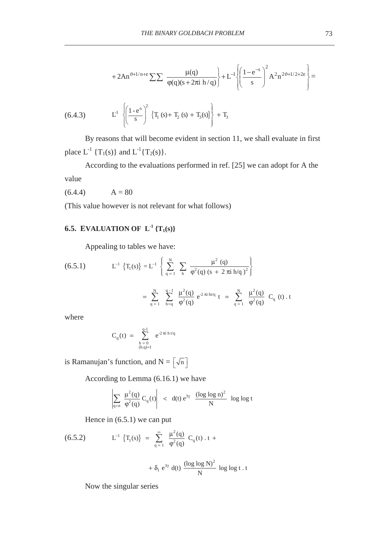$$
+2An^{\vartheta+1/n+\epsilon}\sum\sum\frac{\mu(q)}{\phi(q)(s+2\pi i\;h/q)}\bigg\rbrace +L^{-l}\left\{\!\!\left(\frac{1-e^{-s}}{s}\right)^{\!2}\!A^2n^{2\vartheta+1/2+2\epsilon}\right\}\!=
$$

(6.4.3) 
$$
L^{1} \left\{ \left( \frac{1 - e^{s}}{s} \right)^{2} \{ T_{1} (s) + T_{2} (s) + T_{3} (s) \} \right\} + T_{3}
$$

By reasons that will become evident in section 11, we shall evaluate in first place  $L^{-1} \{T_1(s)\}\$  and  $L^{-1} \{T_2(s)\}.$ 

According to the evaluations performed in ref. [25] we can adopt for A the value

 $(6.4.4)$   $A = 80$ 

(This value however is not relevant for what follows)

# **6.5. EVALUATION OF**  $L^{-1} \{T_1(s)\}$

Appealing to tables we have:

(6.5.1) 
$$
L^{-1} \{T_1(s)\} = L^{-1} \left\{ \sum_{q=1}^{N} \sum_{h=q} \frac{\mu^2 (q)}{\varphi^2(q) (s + 2 \pi i h/q)^2} \right\}
$$

$$
= \sum_{q=1}^{N} \sum_{h=q}^{q-1} \frac{\mu^2 (q)}{\varphi^2(q)} e^{-2 \pi i h t/q} t = \sum_{q=1}^{N} \frac{\mu^2 (q)}{\varphi^2(q)} C_q (t) . t
$$

where

$$
C_q(t) \; = \; \sum_{\substack{h\,=\,0\\ (h,q)=1}}^{q\text{-}1} \; e^{\text{-}2\,\pi i\,h\,t/q}
$$

is Ramanujan's function, and  $N = \lceil \sqrt{n} \rceil$ 

According to Lemma (6.16.1) we have

$$
\left|\sum_{q>n} \frac{\mu^2(q)}{\phi^2(q)} C_q(t)\right| \left| < \left| d(t) e^{3\gamma} \right| \frac{(\log\log n)^2}{N} \right| \log\log t
$$

Hence in (6.5.1) we can put

(6.5.2) 
$$
L^{-1} \{T_1(s)\} = \sum_{q=1}^{\infty} \frac{\mu^2(q)}{\phi^2(q)} C_q(t) \cdot t +
$$

$$
+ \delta_1 e^{3\gamma} d(t) \frac{(\log \log N)^2}{N} \log \log t \cdot t
$$

Now the singular series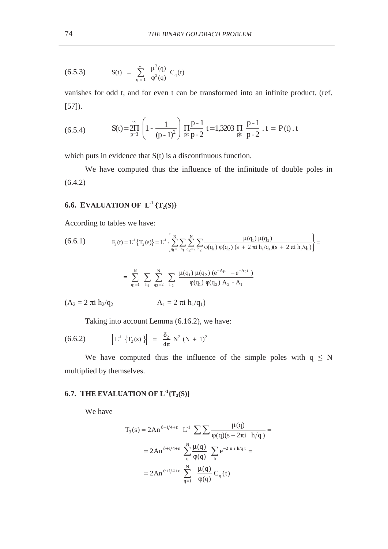(6.5.3) 
$$
S(t) = \sum_{q=1}^{\infty} \frac{\mu^{2}(q)}{\phi^{2}(q)} C_{q}(t)
$$

vanishes for odd t, and for even t can be transformed into an infinite product. (ref. [57]).

(6.5.4) 
$$
S(t) = \prod_{p=3}^{\infty} \left( 1 - \frac{1}{(p-1)^2} \right) \prod_{p|t} \frac{p-1}{p-2} t = 1,3203 \prod_{p|t} \frac{p-1}{p-2} t = P(t) t
$$

which puts in evidence that  $S(t)$  is a discontinuous function.

We have computed thus the influence of the infinitude of double poles in (6.4.2)

## **6.6. EVALUATION OF**  $L^{-1} \{T_2(S)\}$

According to tables we have:

$$
(6.6.1) \tF5(t) = L1 {T2(s)} = L1 { \left\{ \sum_{q_1=1}^{N} \sum_{h_1} \sum_{q_2=2}^{N} \sum_{h_2} \frac{\mu(q_1) \mu(q_2)}{\phi(q_1) \phi(q_2) (s + 2 \pi i h_1/q_1) (s + 2 \pi i h_1/q_1) \right\}} =
$$

$$
=\ \sum\limits_{q_{1}=1}^{N} \ \sum\limits_{h_{1}}\ \sum\limits_{q_{2}=2}^{N} \ \sum\limits_{h_{2}}\ \frac{\mu(q_{1})\ \mu(q_{2})\ (e^{-A_{1}t}\ -e^{-A_{2}t}\ )}{\phi(q_{1})\ \phi(q_{2})\ A_{2}\ -A_{1}}
$$

 $(A_2 = 2 \pi i h_2/q_2$   $A_1 = 2 \pi i h_1/q_1$ 

Taking into account Lemma (6.16.2), we have:

(6.6.2) 
$$
\left| \begin{array}{cc} L^1 \{T_2(s)\} \end{array} \right| = \frac{\delta_2}{4\pi} N^2 (N+1)^2
$$

We have computed thus the influence of the simple poles with  $q \leq N$ multiplied by themselves.

## **6.7. THE EVALUATION OF**  $L^{-1}{T_3(S)}$

We have

$$
T_3(s) = 2An^{\vartheta + 1/4 + \epsilon} L^{-1} \sum \sum \frac{\mu(q)}{\varphi(q)(s + 2\pi i h/q)} =
$$
  
= 2An^{\vartheta + 1/4 + \epsilon} \sum\_{q}^{N} \frac{\mu(q)}{\varphi(q)} \sum\_{h} e^{-2 \pi i h/q t} =  
= 2An^{\vartheta + 1/4 + \epsilon} \sum\_{q=1}^{N} \frac{\mu(q)}{\varphi(q)} C\_q(t)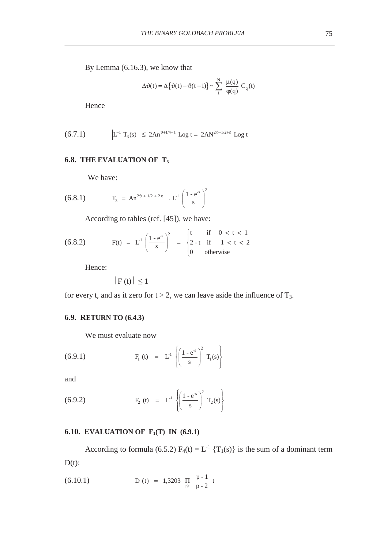By Lemma (6.16.3), we know that

$$
\Delta \vartheta(t) = \Delta \left\{ \vartheta(t) - \vartheta(t-1) \right\} \sim \sum_{1}^{N} \frac{\mu(q)}{\varphi(q)} C_q(t)
$$

Hence

(6.7.1) 
$$
\left| L^{-1} T_3(s) \right| \leq 2An^{\vartheta + 1/4 + \epsilon} \text{Log } t = 2AN^{2\vartheta + 1/2 + \epsilon} \text{Log } t
$$

### **6.8. THE EVALUATION OF T3**

We have:

(6.8.1) 
$$
T_3 = An^{2\vartheta + 1/2 + 2\epsilon} \cdot L^1 \left(\frac{1 - e^{s}}{s}\right)^2
$$

According to tables (ref. [45]), we have:

(6.8.2) 
$$
F(t) = L^{1} \left( \frac{1 - e^{-s}}{s} \right)^{2} = \begin{cases} t & \text{if } 0 < t < 1 \\ 2 - t & \text{if } 1 < t < 2 \\ 0 & \text{otherwise} \end{cases}
$$

Hence:

 $|F(t)| \leq 1$ 

for every t, and as it zero for  $t > 2$ , we can leave aside the influence of  $T_3$ .

### **6.9. RETURN TO (6.4.3)**

We must evaluate now

(6.9.1) 
$$
F_1(t) = L^1 \left\{ \left( \frac{1 - e^{-s}}{s} \right)^2 T_1(s) \right\}
$$

and

(6.9.2) 
$$
F_2(t) = L^1 \left\{ \left( \frac{1 - e^{-s}}{s} \right)^2 T_2(s) \right\}
$$

## **6.10. EVALUATION OF F<sub>1</sub>(T) IN (6.9.1)**

According to formula (6.5.2)  $F_4(t) = L^{-1} \{T_1(s)\}\$ is the sum of a dominant term  $D(t)$ :

(6.10.1) 
$$
D (t) = 1,3203 \prod_{\text{plt}} \frac{p-1}{p-2} t
$$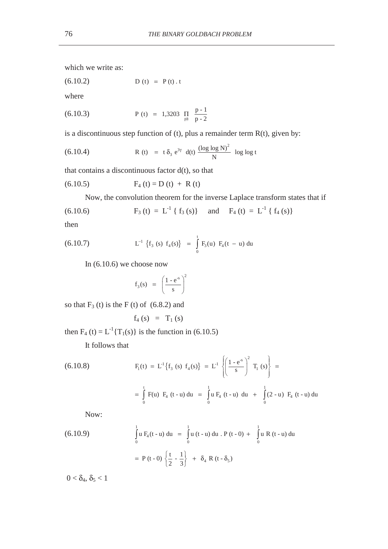which we write as:

 $D (t) = P (t) . t$ 

where

(6.10.3) 
$$
P(t) = 1,3203 \prod_{\text{plt}} \frac{p-1}{p-2}
$$

is a discontinuous step function of (t), plus a remainder term  $R(t)$ , given by:

(6.10.4) 
$$
R(t) = t \delta_3 e^{3\gamma} d(t) \frac{(\log \log N)^2}{N} \log \log t
$$

that contains a discontinuous factor  $d(t)$ , so that

$$
(6.10.5) \tF_4(t) = D(t) + R(t)
$$

Now, the convolution theorem for the inverse Laplace transform states that if

(6.10.6) 
$$
F_3(t) = L^{-1} \{ f_3(s) \} \text{ and } F_4(t) = L^{-1} \{ f_4(s) \}
$$

then

(6.10.7) 
$$
L^{-1} \{f_3 (s) f_4 (s)\} = \int_0^t F_3(u) F_4(t-u) du
$$

In (6.10.6) we choose now

$$
f_3(s) = \left(\frac{1 - e^{-s}}{s}\right)^2
$$

so that  $F_3$  (t) is the F (t) of  $(6.8.2)$  and

$$
f_4(s) = T_1(s)
$$

then  $F_4$  (t) =  $L^{-1}{T_1(s)}$  is the function in (6.10.5)

It follows that

(6.10.8) 
$$
F_1(t) = L^1 \{f_3 \ (s) \ f_4(s)\} = L^1 \left\{ \left( \frac{1 - e^{s}}{s} \right)^2 T_1 \ (s) \right\} = \int_0^t F(u) \ F_4 \ (t - u) \ du = \int_0^1 u F_4 \ (t - u) \ du + \int_0^1 (2 - u) \ F_4 \ (t - u) \ du
$$

Now:

(6.10.9) 
$$
\int_{0}^{1} u F_{4}(t - u) du = \int_{0}^{1} u (t - u) du \cdot P (t - 0) + \int_{0}^{1} u R (t - u) du
$$

$$
= P (t - 0) \left\{ \frac{t}{2} - \frac{1}{3} \right\} + \delta_{4} R (t - \delta_{5})
$$

 $0 < \delta_4$ ,  $\delta_5 < 1$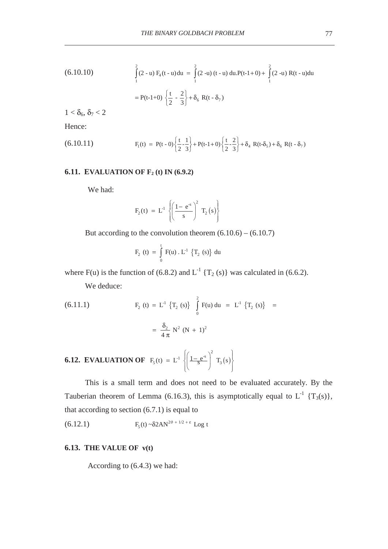(6.10.10) 
$$
\int_{1}^{2} (2-u) F_4(t-u) du = \int_{1}^{2} (2-u) (t-u) du P(t-1+0) + \int_{1}^{2} (2-u) R(t-u) du
$$

$$
= P(t-1+0) \left\{ \frac{t}{2} - \frac{2}{3} \right\} + \delta_6 R(t-\delta_7)
$$

 $1 < \delta_6, \delta_7 < 2$ 

Hence:

(6.10.11) 
$$
F_1(t) = P(t-0)\left\{\frac{t}{2} - \frac{1}{3}\right\} + P(t-1+0)\left\{\frac{t}{2} - \frac{2}{3}\right\} + \delta_4 R(t-\delta_5) + \delta_6 R(t-\delta_7)
$$

### **6.11. EVALUATION OF F<sub>2</sub> (t) IN (6.9.2)**

We had:

$$
F_2(t) = L^1 \left\{ \left( \frac{1 - e^{s}}{s} \right)^2 T_2(s) \right\}
$$

But according to the convolution theorem  $(6.10.6) - (6.10.7)$ 

$$
F_2(t) = \int_0^t F(u) \cdot L^{-1} \{T_2(s)\} du
$$

where F(u) is the function of (6.8.2) and  $L^{-1}$  {T<sub>2</sub> (s)} was calculated in (6.6.2).

We deduce:

(6.11.1) 
$$
F_2(t) = L^1 \{T_2(s)\} \int_0^2 F(u) du = L^1 \{T_2(s)\} = \frac{\delta_2}{4 \pi} N^2 (N + 1)^2
$$

**6.12. EVALUATION OF** 
$$
F_5(t) = L^1 \left\{ \left( \frac{1 - e^s}{s} \right)^2 T_3(s) \right\}
$$

This is a small term and does not need to be evaluated accurately. By the Tauberian theorem of Lemma (6.16.3), this is asymptotically equal to  $L^{-1}$  {T<sub>3</sub>(s)}, that according to section  $(6.7.1)$  is equal to

$$
(6.12.1) \tF5(t) ~ \delta 2AN2\vartheta + 1/2 + \epsilon Log t
$$

### **6.13. THE VALUE OF v(t)**

According to (6.4.3) we had: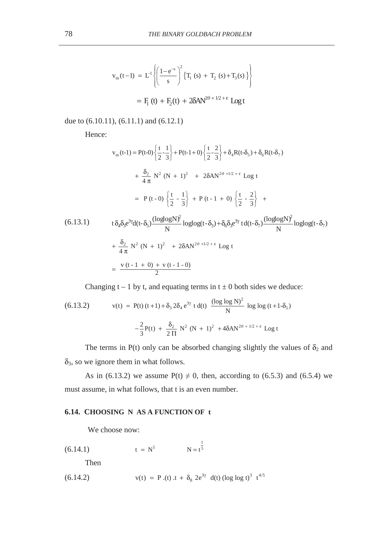$$
v_{m}(t-1) = L^{1}\left\{ \left( \frac{1-e^{-s}}{s} \right)^{2} \{T_{1}(s) + T_{2}(s) + T_{3}(s) \} \right\}
$$

$$
= F_{1}(t) + F_{2}(t) + 2\delta A N^{2\vartheta + 1/2 + \epsilon} \text{Log } t
$$

due to (6.10.11), (6.11.1) and (6.12.1)

Hence:

$$
v_{m}(t-1) = P(t-0) \left\{ \frac{t}{2} - \frac{1}{3} \right\} + P(t-1+0) \left\{ \frac{t}{2} - \frac{2}{3} \right\} + \delta_{4}R(t-\delta_{5}) + \delta_{6}R(t-\delta_{7})
$$
  
+  $\frac{\delta_{2}}{4\pi} N^{2} (N + 1)^{2} + 2\delta A N^{2\vartheta + 1/2 + \epsilon} \text{Log } t$   
=  $P(t-0) \left\{ \frac{t}{2} - \frac{1}{3} \right\} + P(t-1+0) \left\{ \frac{t}{2} - \frac{2}{3} \right\} +$   
(6.13.1)  $t \delta_{4} \delta_{3} e^{3\gamma} d(t-\delta_{5}) \frac{(\log \log N)^{2}}{N} \log \log(t-\delta_{3}) + \delta_{6} \delta_{3} e^{3\gamma} t d(t-\delta_{7}) \frac{(\log \log N)^{2}}{N} \log \log(t-\delta_{7})$   
+  $\frac{\delta_{2}}{4\pi} N^{2} (N + 1)^{2} + 2\delta A N^{2\vartheta + 1/2 + \epsilon} \text{Log } t$   
=  $\frac{v(t-1+0) + v(t-1-0)}{2}$ 

Changing  $t - 1$  by t, and equating terms in  $t \pm 0$  both sides we deduce:

(6.13.2) 
$$
v(t) = P(t) (t+1) + \delta_3 2\delta_4 e^{3\gamma} t d(t) \frac{(\log \log N)^2}{N} \log \log (t+1-\delta_5)
$$

$$
-\frac{2}{3}P(t) + \frac{\delta_2}{2\Pi} N^2 (N+1)^2 + 4\delta A N^{2\vartheta + 1/2 + \epsilon} \log t
$$

The terms in P(t) only can be absorbed changing slightly the values of  $\delta_2$  and  $\delta_3$ , so we ignore them in what follows.

As in (6.13.2) we assume  $P(t) \neq 0$ , then, according to (6.5.3) and (6.5.4) we must assume, in what follows, that t is an even number.

### **6.14. CHOOSING N AS A FUNCTION OF t**

We choose now:

 $(6.14.1)$  $t = N^5$   $N = t^{\frac{1}{5}}$ 

Then

(6.14.2) 
$$
v(t) = P.(t) \t t + \delta_8 2e^{3\gamma} d(t) (\log \log t)^3 t^{4/5}
$$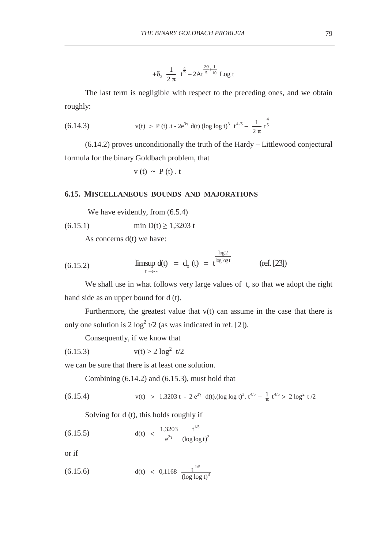$$
+\delta_2 \frac{1}{2\pi} t^{\frac{4}{5}} - 2At^{\frac{2\vartheta}{5} + \frac{1}{10}} Log t
$$

The last term is negligible with respect to the preceding ones, and we obtain roughly:

(6.14.3) 
$$
v(t) > P(t) \cdot t - 2e^{3\gamma} d(t) (\log \log t)^{3} t^{4/5} - \frac{1}{2\pi} t^{\frac{4}{5}}
$$

(6.14.2) proves unconditionally the truth of the Hardy – Littlewood conjectural formula for the binary Goldbach problem, that

$$
v(t) \sim P(t) \cdot t
$$

### **6.15. MISCELLANEOUS BOUNDS AND MAJORATIONS**

We have evidently, from  $(6.5.4)$ 

$$
(6.15.1) \tmin D(t) \ge 1,3203 t
$$

As concerns d(t) we have:

(6.15.2) 
$$
\limsup_{t \to \infty} d(t) = d_o(t) = t^{\frac{\log 2}{\log \log t}}
$$
 (ref. [23])

We shall use in what follows very large values of t, so that we adopt the right hand side as an upper bound for d (t).

Furthermore, the greatest value that  $v(t)$  can assume in the case that there is only one solution is  $2 \log^2 t/2$  (as was indicated in ref. [2]).

Consequently, if we know that

$$
(6.15.3) \t v(t) > 2 \log^2 t/2
$$

we can be sure that there is at least one solution.

Combining (6.14.2) and (6.15.3), must hold that

(6.15.4) 
$$
v(t) > 1,3203 t - 2 e^{3\gamma} d(t) (\log \log t)^3 \cdot t^{4/5} - \frac{1}{\pi} t^{4/5} > 2 \log^2 t / 2
$$

Solving for d (t), this holds roughly if

(6.15.5) 
$$
d(t) < \frac{1,3203}{e^{3\gamma}} \frac{t^{1/5}}{(\log \log t)^3}
$$

or if

(6.15.6) 
$$
d(t) < 0,1168 \frac{t^{1/5}}{(\log \log t)^3}
$$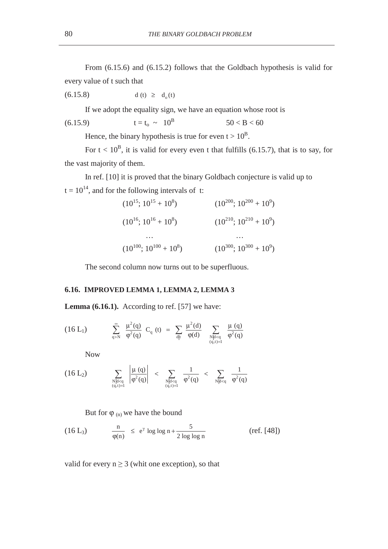From (6.15.6) and (6.15.2) follows that the Goldbach hypothesis is valid for every value of t such that

$$
(6.15.8) \t d(t) \ge d_o(t)
$$

If we adopt the equality sign, we have an equation whose root is

(6.15.9) 
$$
t = t_0 \sim 10^B
$$
  $50 < B < 60$ 

Hence, the binary hypothesis is true for even  $t > 10^B$ .

For  $t < 10^B$ , it is valid for every even t that fulfills (6.15.7), that is to say, for the vast majority of them.

In ref. [10] it is proved that the binary Goldbach conjecture is valid up to  $t = 10^{14}$ , and for the following intervals of t:

$$
(10^{15}; 10^{15} + 10^{8})
$$
\n
$$
(10^{200}; 10^{200} + 10^{9})
$$
\n
$$
(10^{16}; 10^{16} + 10^{8})
$$
\n
$$
(10^{210}; 10^{210} + 10^{9})
$$
\n...\n
$$
(10^{100}; 10^{100} + 10^{8})
$$
\n
$$
(10^{300}; 10^{300} + 10^{9})
$$

The second column now turns out to be superfluous.

### **6.16. IMPROVED LEMMA 1, LEMMA 2, LEMMA 3**

Lemma (6.16.1). According to ref. [57] we have:

$$
(16 L_1) \qquad \qquad \sum_{q>N}^{\infty} \frac{\mu^2(q)}{\phi^2(q)} \ C_q \ (t) \ = \ \sum_{d \mid t} \frac{\mu^2(d)}{\phi(d)} \quad \sum_{\substack{N \mid d < q \\ (q,t)=1}} \frac{\mu \ (q)}{\phi^2(q)}
$$

Now

$$
(16 \ L_2) \qquad \sum_{\substack{N \mid d < q \\ (q,t)=1}} \ \left| \frac{\mu \left( q \right)}{\phi^2(q)} \right| \ < \ \sum_{\substack{N \mid d < q \\ (q,t)=1}} \ \frac{1}{\phi^2(q)} \ < \ \sum_{N \mid d < q} \ \frac{1}{\phi^2(q)}
$$

But for  $\varphi$  (n) we have the bound

(16 L<sub>3</sub>) 
$$
\frac{n}{\phi(n)} \le e^{\gamma} \log \log n + \frac{5}{2 \log \log n}
$$
 (ref. [48])

valid for every  $n \geq 3$  (whit one exception), so that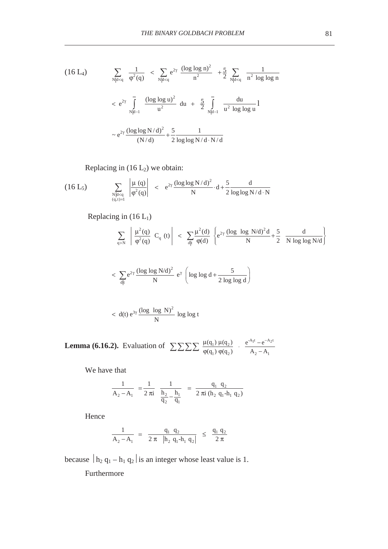$$
(16 \text{ L}_4) \qquad \sum_{N|d < q} \frac{1}{\varphi^2(q)} \, < \, \sum_{N|d < q} e^{2\gamma} \, \frac{(\log \log n)^2}{n^2} \, + \frac{5}{2} \sum_{N|d < q} \, \frac{1}{n^2 \log \log n}
$$
\n
$$
\leq e^{2\gamma} \int_{N|d-1}^{\infty} \frac{(\log \log u)^2}{u^2} \, du \, + \, \frac{5}{2} \int_{N|d-1}^{\infty} \frac{du}{u^2 \log \log u} \, \log \log u
$$
\n
$$
\sim e^{2\gamma} \frac{(\log \log N/d)^2}{(N/d)} + \frac{5}{2} \frac{1}{\log \log N/d \cdot N/d}
$$

Replacing in  $(16 L_2)$  we obtain:

$$
(16 L_5) \qquad \sum_{\substack{N \mid d < q \\ (q, t) = 1}} \left| \frac{\mu(q)}{\phi^2(q)} \right| \leq e^{2\gamma} \frac{(\log \log N/d)^2}{N} \cdot d + \frac{5}{2} \frac{d}{\log \log N/d \cdot N}
$$

Replacing in  $(16 L_1)$ 

$$
\sum_{q>N} \left| \frac{\mu^2(q)}{\phi^2(q)} C_q(t) \right| < \sum_{d|t} \frac{\mu^2(d)}{\phi(d)} \left\{ e^{2\gamma} \frac{(\log \log N/d)^2 d}{N} + \frac{5}{2} \frac{d}{N \log \log N/d} \right\}
$$

$$
<\sum_{d|t} e^{2\gamma} \frac{(\log\log N/d)^2}{N} e^{\gamma} \left( \log\log d + \frac{5}{2\log\log d} \right)
$$

$$
\langle d(t) e^{3\gamma} \frac{(\log \log N)^2}{N} \log \log t
$$

**Lemma (6.16.2).** Evaluation of  $\sum \sum \sum \sum \frac{\mu(q_1) \mu(q_2)}{\mu(q_3) \mu(q_4)}$ .  $e^{-Att} - e^{-At}$  $\sum \sum \sum \frac{\mu(q_1) \mu(q_2)}{\phi(q_1) \phi(q_2)}$  ·  $\frac{e^{A_1 t} - e^{-A_2 t}}{A_2 - A_1}$ 

We have that

$$
\frac{1}{A_2 - A_1} = \frac{1}{2 \pi i} \frac{1}{\frac{h_2}{q_2} - \frac{h_1}{q_1}} = \frac{q_1 q_2}{2 \pi i (h_2 q_1 - h_1 q_2)}
$$

Hence

$$
\frac{1}{A_2 - A_1} = \frac{q_1 q_2}{2 \pi |h_2 q_1 - h_1 q_2|} \le \frac{q_1 q_2}{2 \pi}
$$

because  $|h_2 q_1 - h_1 q_2|$  is an integer whose least value is 1.

Furthermore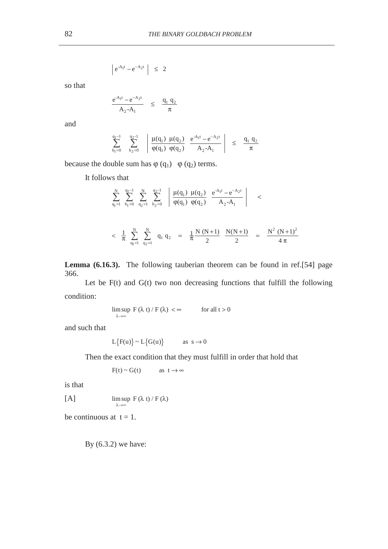$$
\left| e^{-A_1 t} - e^{-A_2 t} \right| \leq 2
$$

so that

$$
\frac{e^{-A_1 t} - e^{-A_2 t}}{A_2 - A_1} \leq \frac{q_1 q_2}{\pi}
$$

and

$$
\sum_{h_1=0}^{q_1-1} \sum_{h_2=0}^{q_2-1} \left| \frac{\mu(q_1) \mu(q_2)}{\phi(q_1) \phi(q_2)} \frac{e^{-A_1 t} - e^{-A_2 t}}{A_2 - A_1} \right| \leq \frac{q_1 q_2}{\pi}
$$

because the double sum has  $\varphi(q_1)$   $\varphi(q_2)$  terms.

It follows that

$$
\begin{array}{lcl} \displaystyle \sum_{q_1=1}^N \; \; \sum_{h_1=0}^{q_1-1} \; \; \sum_{q_2=1}^N \; \; \sum_{h_2=0}^{q_2-1} \; \; \left| \; \; \frac{\mu(q_1) \; \; \mu(q_2) \; \; \; e^{-A_1 t} - e^{-A_2 t}}{\phi(q_1) \; \; \phi(q_2) \; \; \; A_2 - A_1} \right| & \; < \\ \\ \displaystyle & < \; \frac{1}{\pi} \; \; \sum_{q_1=1}^N \; \; \sum_{q_2=1}^N \; \; q_1 \; q_2 \; \; = \; \; \frac{1}{\pi} \frac{N \; (N+1)}{2} \; \; \frac{N(N+1)}{2} \; \; = \; \; \frac{N^2 \; (N+1)^2}{4 \; \pi} \end{array}
$$

**Lemma (6.16.3).** The following tauberian theorem can be found in ref.[54] page 366.

Let be  $F(t)$  and  $G(t)$  two non decreasing functions that fulfill the following condition:

$$
\limsup_{\lambda \to \infty} F(\lambda t) / F(\lambda) < \infty \qquad \text{for all } t > 0
$$

and such that

 $L\{F(u)\} \sim L\{G(u)\}$  as  $s \to 0$ 

Then the exact condition that they must fulfill in order that hold that

$$
F(t) \sim G(t) \qquad \text{as } t \to \infty
$$

is that

[A]  $\limsup_{\lambda \to \infty} F(\lambda t) / F(\lambda)$  $λ$  t) / F ( $λ$ 

be continuous at  $t = 1$ .

By (6.3.2) we have: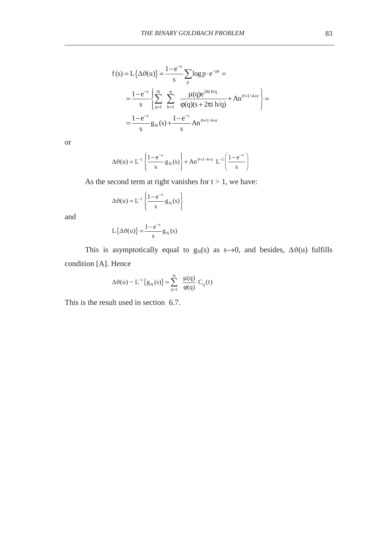$$
f(s) = L\{\Delta\vartheta(u)\} = \frac{1 - e^{-s}}{s} \sum_{p} \log p \cdot e^{-ps} =
$$
  
= 
$$
\frac{1 - e^{-s}}{s} \left\{ \sum_{q=1}^{N} \sum_{h=1}^{q} \frac{\mu(q) e^{2\pi i h/q}}{\varphi(q)(s + 2\pi i h/q)} + An^{\vartheta + 1/4 + \epsilon} \right\} =
$$
  
= 
$$
\frac{1 - e^{-s}}{s} g_N(s) + \frac{1 - e^{-s}}{s} An^{\vartheta + 1/4 + \epsilon}
$$

or

$$
\Delta \vartheta(u) = L^{-1} \left\{ \frac{1 - e^{-s}}{s} g_N(s) \right\} + A n^{\vartheta + 1/4 + \epsilon} L^{-1} \left( \frac{1 - e^{-s}}{s} \right)
$$

As the second term at right vanishes for  $t > 1$ , we have:

$$
\Delta \vartheta(u) = L^{-1} \left\{ \frac{1 - e^{-s}}{s} g_N(s) \right\}
$$

and

$$
L\left\{\Delta\vartheta(u)\right\} = \frac{1 - e^{-s}}{s} g_N(s)
$$

This is asymptotically equal to  $g_N(s)$  as s→0, and besides,  $\Delta\vartheta(u)$  fulfills condition [A]. Hence

$$
\Delta \vartheta(u) \sim L^{-1}\left\{g_N(s)\right\} = \sum_{q=1}^N \frac{\mu(q)}{\varphi(q)} C_q(t)
$$

This is the result used in section 6.7.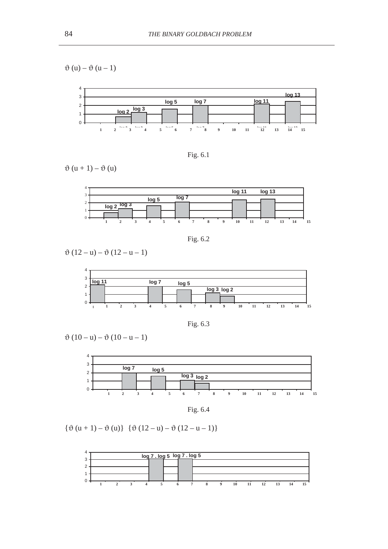$\vartheta(u) - \vartheta(u-1)$ 





 $\vartheta(u+1) - \vartheta(u)$ 



Fig. 6.2

 $\vartheta(12-u) - \vartheta(12-u-1)$ 



Fig. 6.3

 $\vartheta(10-u) - \vartheta(10-u-1)$ 



Fig. 6.4

 $\{\vartheta(u + 1) - \vartheta(u)\}\ \{\vartheta(12 - u) - \vartheta(12 - u - 1)\}\$